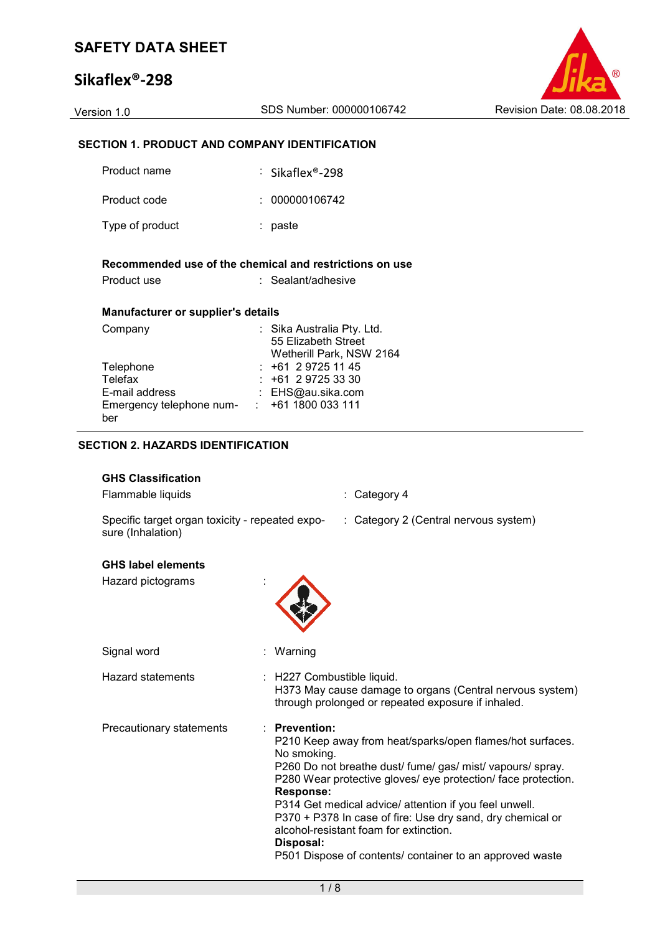# **Sikaflex®-298**



#### **SECTION 1. PRODUCT AND COMPANY IDENTIFICATION**

| Product name                                                  | $\therefore$ Sikaflex®-298                                                    |
|---------------------------------------------------------------|-------------------------------------------------------------------------------|
| Product code                                                  | : 000000106742                                                                |
| Type of product                                               | : paste                                                                       |
| Product use                                                   | Recommended use of the chemical and restrictions on use<br>: Sealant/adhesive |
| Manufacturer or supplier's details                            |                                                                               |
| Company                                                       | : Sika Australia Pty. Ltd.<br>55 Elizabeth Street<br>Wetherill Park, NSW 2164 |
| Telephone                                                     | $: +61297251145$                                                              |
| Telefax                                                       | $: +61297253330$                                                              |
|                                                               |                                                                               |
| E-mail address<br>Emergency telephone num- : +61 1800 033 111 | : EHS@au.sika.com                                                             |

#### **SECTION 2. HAZARDS IDENTIFICATION**

#### **GHS Classification**

Flammable liquids : Category 4 Specific target organ toxicity - repeated exposure (Inhalation) : Category 2 (Central nervous system) **GHS label elements**  Hazard pictograms : Signal word : Warning Hazard statements : H227 Combustible liquid. H373 May cause damage to organs (Central nervous system) through prolonged or repeated exposure if inhaled. Precautionary statements : **Prevention:**  P210 Keep away from heat/sparks/open flames/hot surfaces. No smoking. P260 Do not breathe dust/ fume/ gas/ mist/ vapours/ spray. P280 Wear protective gloves/ eye protection/ face protection. **Response:**  P314 Get medical advice/ attention if you feel unwell. P370 + P378 In case of fire: Use dry sand, dry chemical or alcohol-resistant foam for extinction. **Disposal:**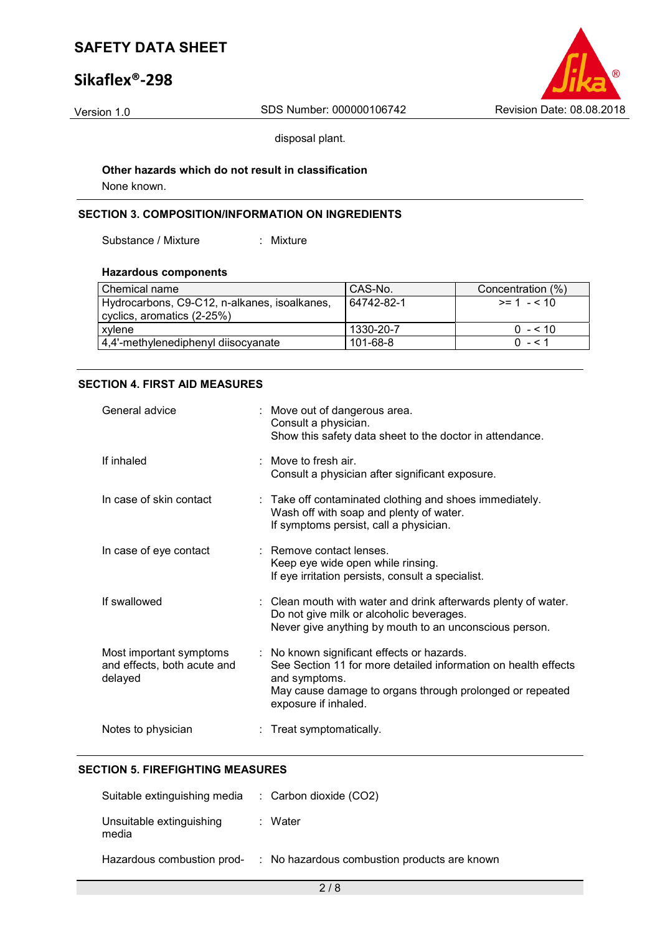# **Sikaflex®-298**



disposal plant.

# **Other hazards which do not result in classification**

None known.

### **SECTION 3. COMPOSITION/INFORMATION ON INGREDIENTS**

Substance / Mixture : Mixture

#### **Hazardous components**

| Chemical name                                | l CAS-No.  | Concentration (%) |
|----------------------------------------------|------------|-------------------|
| Hydrocarbons, C9-C12, n-alkanes, isoalkanes, | 64742-82-1 | $>= 1 - 510$      |
| cyclics, aromatics (2-25%)                   |            |                   |
| xylene                                       | 1330-20-7  | $0 - 510$         |
| 4,4'-methylenediphenyl diisocyanate          | 101-68-8   | $0 - 51$          |

#### **SECTION 4. FIRST AID MEASURES**

| General advice                                                    | : Move out of dangerous area.<br>Consult a physician.<br>Show this safety data sheet to the doctor in attendance.                                                                                                 |
|-------------------------------------------------------------------|-------------------------------------------------------------------------------------------------------------------------------------------------------------------------------------------------------------------|
| If inhaled                                                        | : Move to fresh air.<br>Consult a physician after significant exposure.                                                                                                                                           |
| In case of skin contact                                           | : Take off contaminated clothing and shoes immediately.<br>Wash off with soap and plenty of water.<br>If symptoms persist, call a physician.                                                                      |
| In case of eye contact                                            | : Remove contact lenses.<br>Keep eye wide open while rinsing.<br>If eye irritation persists, consult a specialist.                                                                                                |
| If swallowed                                                      | : Clean mouth with water and drink afterwards plenty of water.<br>Do not give milk or alcoholic beverages.<br>Never give anything by mouth to an unconscious person.                                              |
| Most important symptoms<br>and effects, both acute and<br>delayed | : No known significant effects or hazards.<br>See Section 11 for more detailed information on health effects<br>and symptoms.<br>May cause damage to organs through prolonged or repeated<br>exposure if inhaled. |
| Notes to physician                                                | : Treat symptomatically.                                                                                                                                                                                          |

#### **SECTION 5. FIREFIGHTING MEASURES**

| Suitable extinguishing media      | $\therefore$ Carbon dioxide (CO2)            |
|-----------------------------------|----------------------------------------------|
| Unsuitable extinguishing<br>media | : Water                                      |
| Hazardous combustion prod-        | : No hazardous combustion products are known |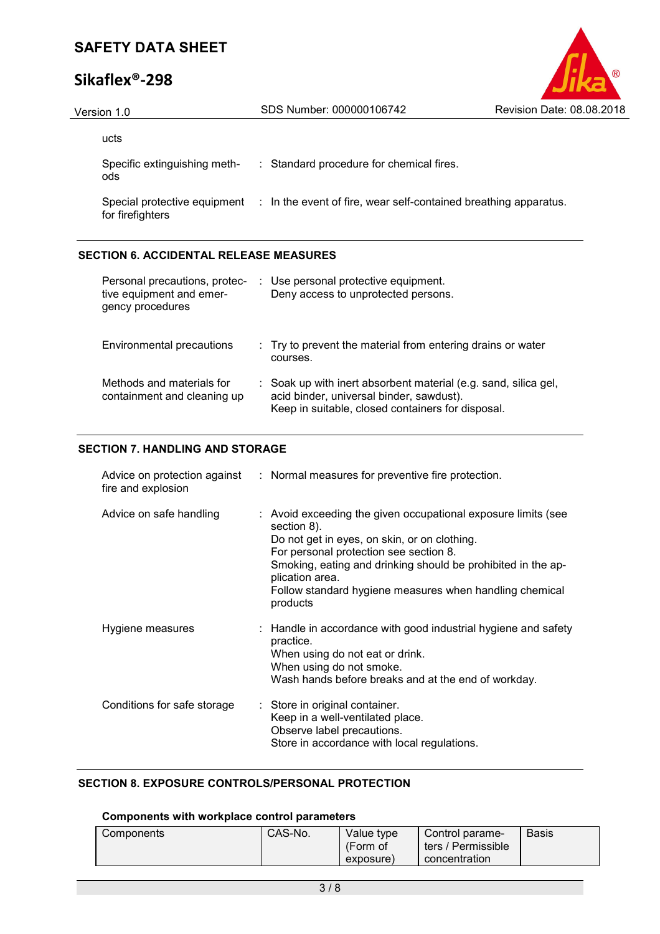# **Sikaflex®-298**



| Version 1.0                         | SDS Number: 000000106742                                                                      | Revision Date: 08.08.2018 |
|-------------------------------------|-----------------------------------------------------------------------------------------------|---------------------------|
| ucts                                |                                                                                               |                           |
| Specific extinguishing meth-<br>ods | : Standard procedure for chemical fires.                                                      |                           |
| for firefighters                    | Special protective equipment : In the event of fire, wear self-contained breathing apparatus. |                           |

### **SECTION 6. ACCIDENTAL RELEASE MEASURES**

| Personal precautions, protec-<br>tive equipment and emer-<br>gency procedures | : Use personal protective equipment.<br>Deny access to unprotected persons.                                                                                      |
|-------------------------------------------------------------------------------|------------------------------------------------------------------------------------------------------------------------------------------------------------------|
| Environmental precautions                                                     | : Try to prevent the material from entering drains or water<br>courses.                                                                                          |
| Methods and materials for<br>containment and cleaning up                      | : Soak up with inert absorbent material (e.g. sand, silica gel,<br>acid binder, universal binder, sawdust).<br>Keep in suitable, closed containers for disposal. |

### **SECTION 7. HANDLING AND STORAGE**

| Advice on protection against<br>fire and explosion | : Normal measures for preventive fire protection.                                                                                                                                                                                                                                                                                |
|----------------------------------------------------|----------------------------------------------------------------------------------------------------------------------------------------------------------------------------------------------------------------------------------------------------------------------------------------------------------------------------------|
| Advice on safe handling                            | : Avoid exceeding the given occupational exposure limits (see<br>section 8).<br>Do not get in eyes, on skin, or on clothing.<br>For personal protection see section 8.<br>Smoking, eating and drinking should be prohibited in the ap-<br>plication area.<br>Follow standard hygiene measures when handling chemical<br>products |
| Hygiene measures                                   | : Handle in accordance with good industrial hygiene and safety<br>practice.<br>When using do not eat or drink.<br>When using do not smoke.<br>Wash hands before breaks and at the end of workday.                                                                                                                                |
| Conditions for safe storage                        | : Store in original container.<br>Keep in a well-ventilated place.<br>Observe label precautions.<br>Store in accordance with local regulations.                                                                                                                                                                                  |

### **SECTION 8. EXPOSURE CONTROLS/PERSONAL PROTECTION**

#### **Components with workplace control parameters**

| CAS-No.<br>Components | Value type<br>(Form of<br>exposure) | Control parame-<br>ters / Permissible<br>concentration | <b>Basis</b> |
|-----------------------|-------------------------------------|--------------------------------------------------------|--------------|
|-----------------------|-------------------------------------|--------------------------------------------------------|--------------|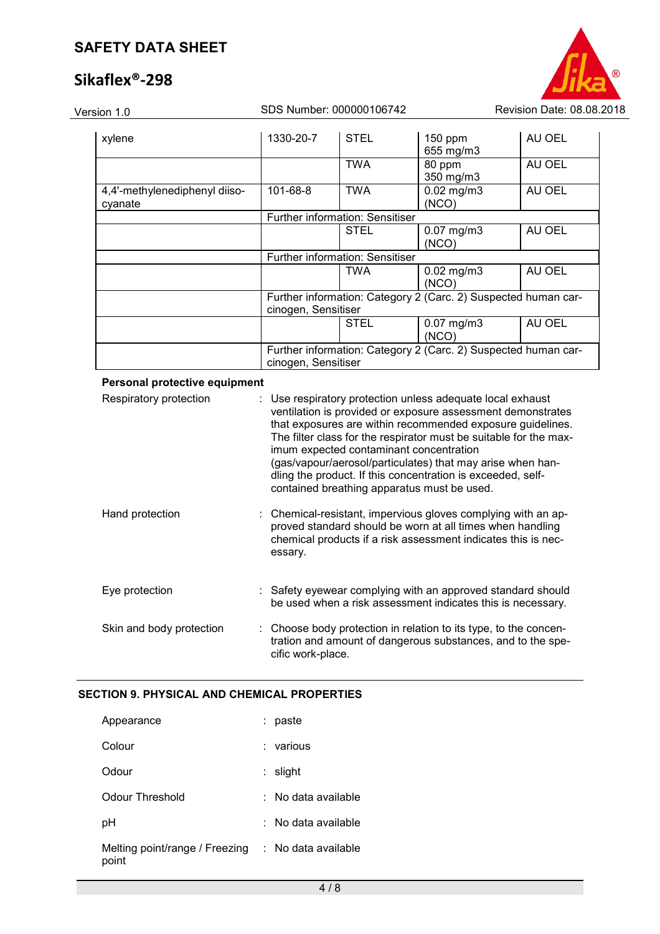# **Sikaflex®-298**



| xylene                        | 1330-20-7           | <b>STEL</b>                     | 150 ppm                                                        | AU OEL |
|-------------------------------|---------------------|---------------------------------|----------------------------------------------------------------|--------|
|                               |                     |                                 | 655 mg/m3                                                      |        |
|                               |                     | <b>TWA</b>                      | 80 ppm                                                         | AU OEL |
|                               |                     |                                 | 350 mg/m3                                                      |        |
| 4,4'-methylenediphenyl diiso- | 101-68-8            | <b>TWA</b>                      | $0.02$ mg/m $3$                                                | AU OEL |
| cyanate                       |                     |                                 | (NCO)                                                          |        |
|                               |                     | Further information: Sensitiser |                                                                |        |
|                               |                     | <b>STEL</b>                     | $0.07$ mg/m $3$                                                | AU OEL |
|                               |                     |                                 | (NCO)                                                          |        |
|                               |                     | Further information: Sensitiser |                                                                |        |
|                               |                     | TWA                             | $0.02$ mg/m $3$                                                | AU OEL |
|                               |                     |                                 | (NCO)                                                          |        |
|                               |                     |                                 | Further information: Category 2 (Carc. 2) Suspected human car- |        |
|                               | cinogen, Sensitiser |                                 |                                                                |        |
|                               |                     | <b>STEL</b>                     | $0.07$ mg/m $3$                                                | AU OEL |
|                               |                     |                                 | (NCO)                                                          |        |
|                               |                     |                                 | Further information: Category 2 (Carc. 2) Suspected human car- |        |
|                               | cinogen, Sensitiser |                                 |                                                                |        |

#### **Personal protective equipment**

| Respiratory protection   | : Use respiratory protection unless adequate local exhaust<br>ventilation is provided or exposure assessment demonstrates<br>that exposures are within recommended exposure guidelines.<br>The filter class for the respirator must be suitable for the max-<br>imum expected contaminant concentration<br>(gas/vapour/aerosol/particulates) that may arise when han-<br>dling the product. If this concentration is exceeded, self-<br>contained breathing apparatus must be used. |
|--------------------------|-------------------------------------------------------------------------------------------------------------------------------------------------------------------------------------------------------------------------------------------------------------------------------------------------------------------------------------------------------------------------------------------------------------------------------------------------------------------------------------|
| Hand protection          | : Chemical-resistant, impervious gloves complying with an ap-<br>proved standard should be worn at all times when handling<br>chemical products if a risk assessment indicates this is nec-<br>essary.                                                                                                                                                                                                                                                                              |
| Eye protection           | : Safety eyewear complying with an approved standard should<br>be used when a risk assessment indicates this is necessary.                                                                                                                                                                                                                                                                                                                                                          |
| Skin and body protection | : Choose body protection in relation to its type, to the concen-<br>tration and amount of dangerous substances, and to the spe-<br>cific work-place.                                                                                                                                                                                                                                                                                                                                |

#### **SECTION 9. PHYSICAL AND CHEMICAL PROPERTIES**

| Appearance                              | paste               |
|-----------------------------------------|---------------------|
| Colour                                  | various             |
| Odour                                   | slight              |
| Odour Threshold                         | No data available   |
| рH                                      | No data available   |
| Melting point/range / Freezing<br>point | : No data available |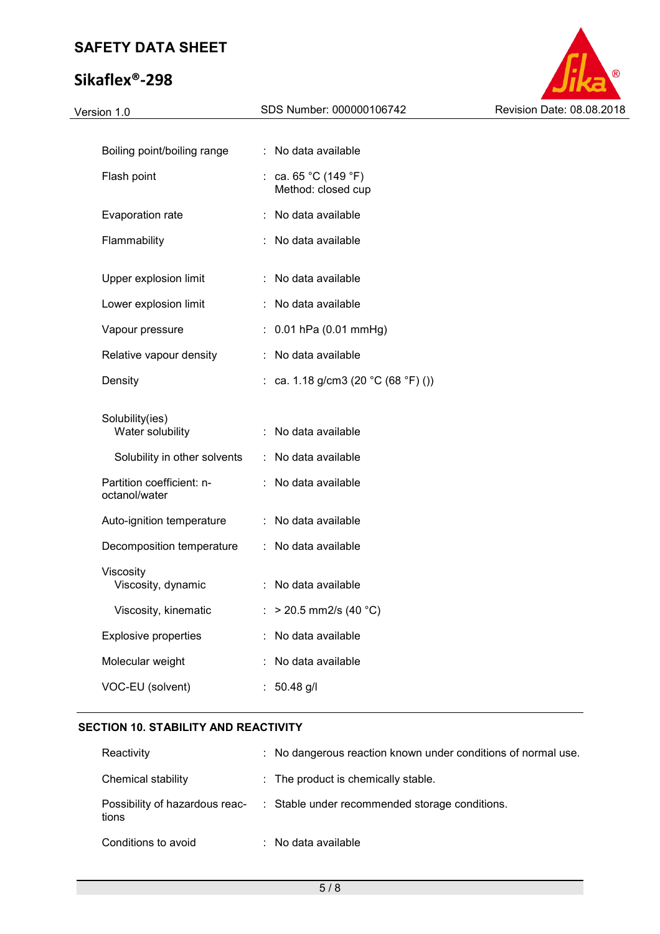# **Sikaflex®-298**



| Boiling point/boiling range                | : No data available                                           |
|--------------------------------------------|---------------------------------------------------------------|
| Flash point                                | : ca. $65 \degree C$ (149 $\degree F$ )<br>Method: closed cup |
| Evaporation rate                           | : No data available                                           |
| Flammability                               | : No data available                                           |
| Upper explosion limit                      | : No data available                                           |
| Lower explosion limit                      | : No data available                                           |
| Vapour pressure                            | $: 0.01$ hPa (0.01 mmHg)                                      |
| Relative vapour density                    | : No data available                                           |
| Density                                    | : ca. 1.18 g/cm3 (20 °C (68 °F) ())                           |
| Solubility(ies)                            |                                                               |
| Water solubility                           | : No data available                                           |
| Solubility in other solvents               | : No data available                                           |
| Partition coefficient: n-<br>octanol/water | : No data available                                           |
| Auto-ignition temperature                  | : No data available                                           |
| Decomposition temperature                  | : No data available                                           |
| Viscosity<br>Viscosity, dynamic            | : No data available                                           |
| Viscosity, kinematic                       | : > 20.5 mm2/s (40 °C)                                        |
| <b>Explosive properties</b>                | No data available                                             |
| Molecular weight                           | No data available                                             |
| VOC-EU (solvent)                           | $: 50.48$ g/l                                                 |
|                                            |                                                               |

#### **SECTION 10. STABILITY AND REACTIVITY**

| Reactivity                              | : No dangerous reaction known under conditions of normal use. |
|-----------------------------------------|---------------------------------------------------------------|
| Chemical stability                      | : The product is chemically stable.                           |
| Possibility of hazardous reac-<br>tions | : Stable under recommended storage conditions.                |
| Conditions to avoid                     | $\therefore$ No data available                                |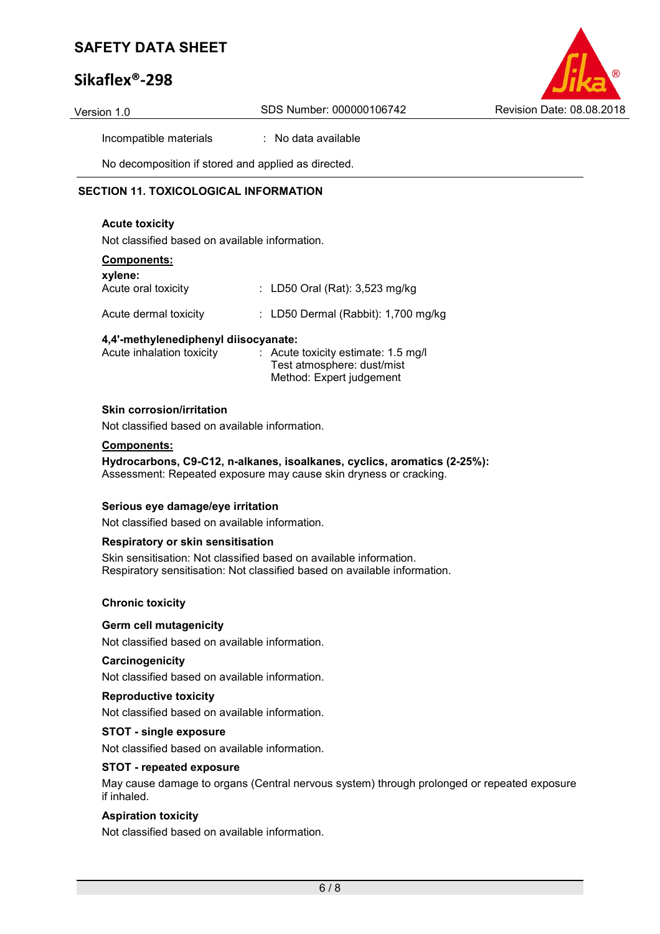# **Sikaflex®-298**



Incompatible materials : No data available

No decomposition if stored and applied as directed.

#### **SECTION 11. TOXICOLOGICAL INFORMATION**

#### **Acute toxicity**

Not classified based on available information.

#### **Components:**

| xylene:<br>Acute oral toxicity | : LD50 Oral (Rat): $3,523$ mg/kg      |
|--------------------------------|---------------------------------------|
| Acute dermal toxicity          | : LD50 Dermal (Rabbit): $1,700$ mg/kg |

#### **4,4'-methylenediphenyl diisocyanate:**

| Acute inhalation toxicity | $\therefore$ Acute toxicity estimate: 1.5 mg/l |
|---------------------------|------------------------------------------------|
|                           | Test atmosphere: dust/mist                     |
|                           | Method: Expert judgement                       |

#### **Skin corrosion/irritation**

Not classified based on available information.

#### **Components:**

**Hydrocarbons, C9-C12, n-alkanes, isoalkanes, cyclics, aromatics (2-25%):**  Assessment: Repeated exposure may cause skin dryness or cracking.

#### **Serious eye damage/eye irritation**

Not classified based on available information.

#### **Respiratory or skin sensitisation**

Skin sensitisation: Not classified based on available information. Respiratory sensitisation: Not classified based on available information.

#### **Chronic toxicity**

#### **Germ cell mutagenicity**

Not classified based on available information.

#### **Carcinogenicity**

Not classified based on available information.

#### **Reproductive toxicity**

Not classified based on available information.

#### **STOT - single exposure**

Not classified based on available information.

#### **STOT - repeated exposure**

May cause damage to organs (Central nervous system) through prolonged or repeated exposure if inhaled.

#### **Aspiration toxicity**

Not classified based on available information.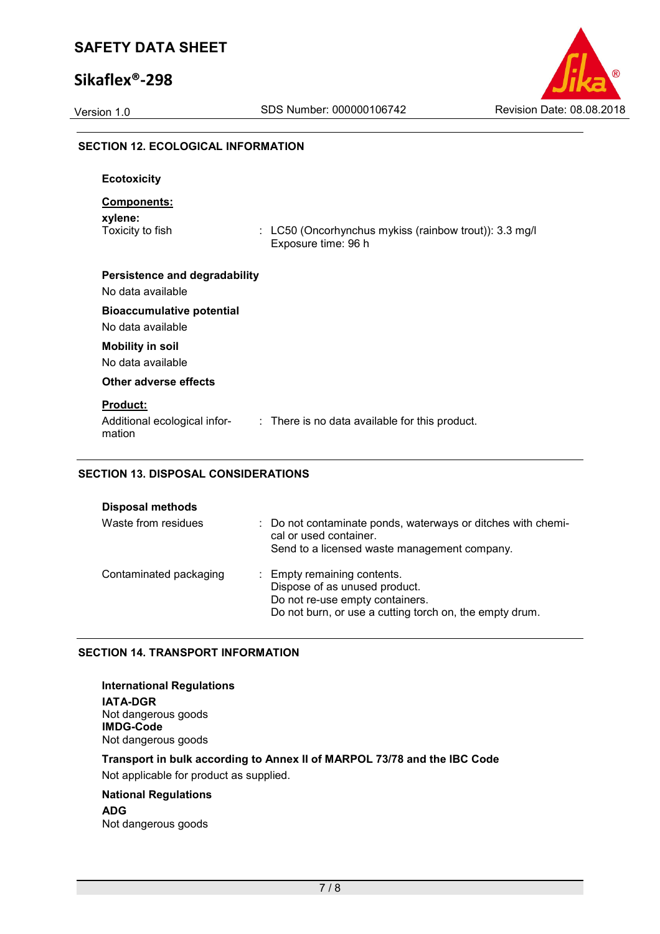## **Sikaflex®-298**



# **SECTION 12. ECOLOGICAL INFORMATION Ecotoxicity Components: xylene:**  Toxicity to fish : LC50 (Oncorhynchus mykiss (rainbow trout)): 3.3 mg/l Exposure time: 96 h **Persistence and degradability**  No data available **Bioaccumulative potential**  No data available **Mobility in soil**  No data available **Other adverse effects Product:**  Additional ecological information : There is no data available for this product. **SECTION 13. DISPOSAL CONSIDERATIONS**

| <b>Disposal methods</b> |                                                                                                                                                            |
|-------------------------|------------------------------------------------------------------------------------------------------------------------------------------------------------|
| Waste from residues     | : Do not contaminate ponds, waterways or ditches with chemi-<br>cal or used container.<br>Send to a licensed waste management company.                     |
| Contaminated packaging  | : Empty remaining contents.<br>Dispose of as unused product.<br>Do not re-use empty containers.<br>Do not burn, or use a cutting torch on, the empty drum. |

### **SECTION 14. TRANSPORT INFORMATION**

**International Regulations IATA-DGR** Not dangerous goods **IMDG-Code** Not dangerous goods

**Transport in bulk according to Annex II of MARPOL 73/78 and the IBC Code**  Not applicable for product as supplied.

## **National Regulations**

**ADG** Not dangerous goods